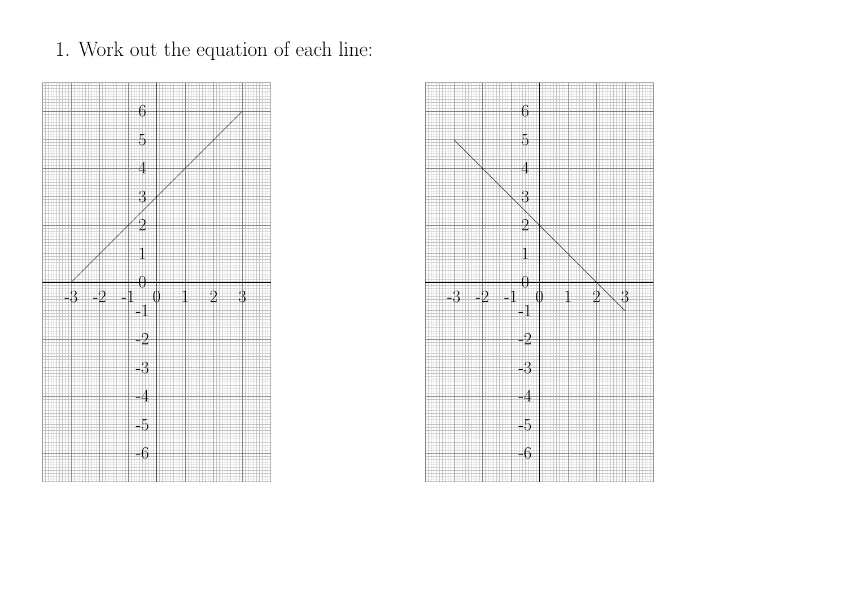1. Work out the equation of each line:



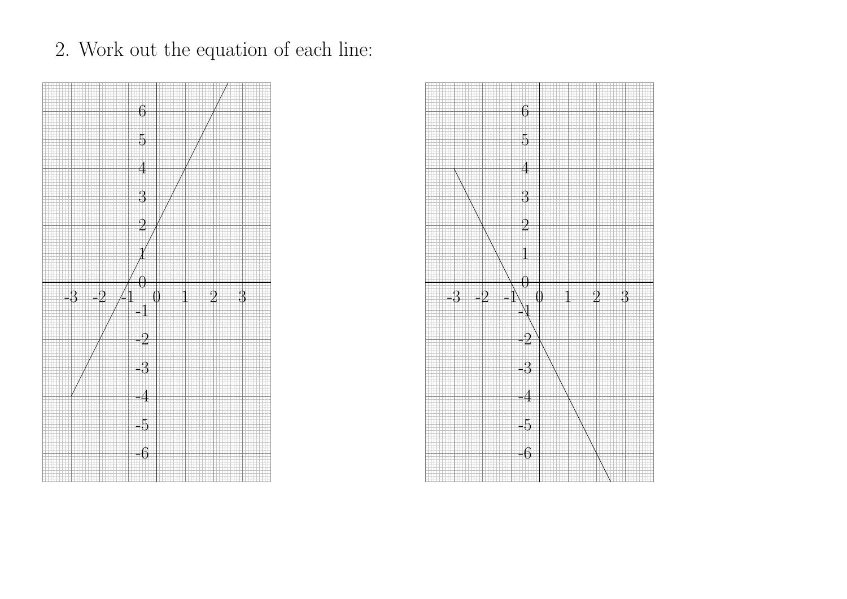

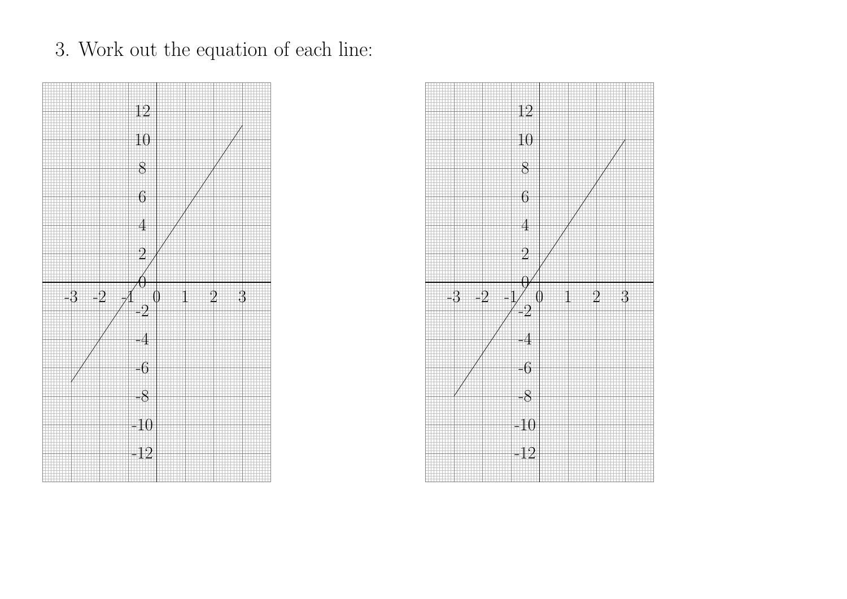

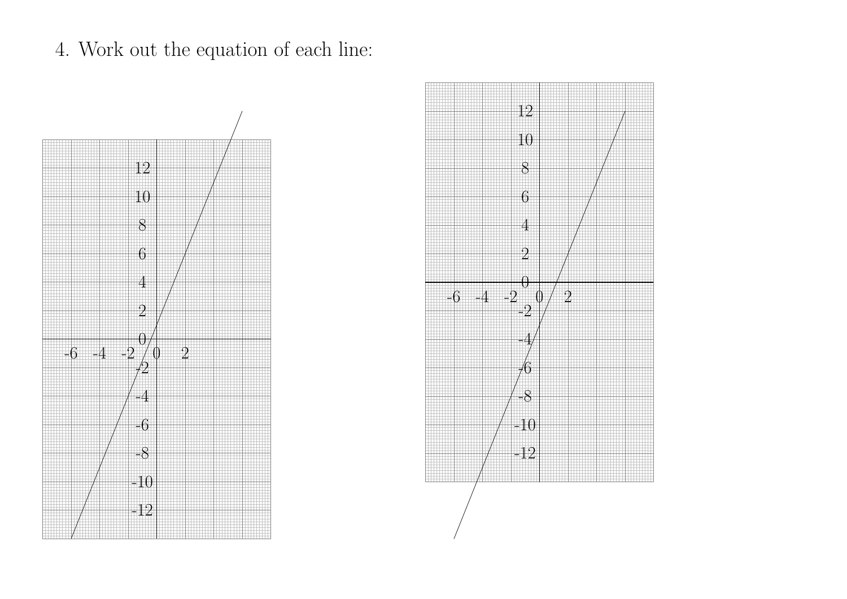

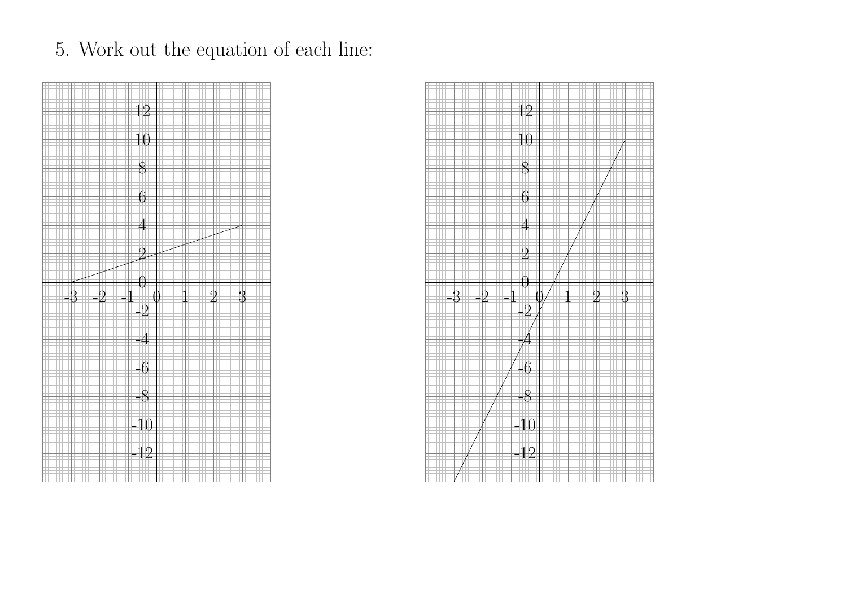

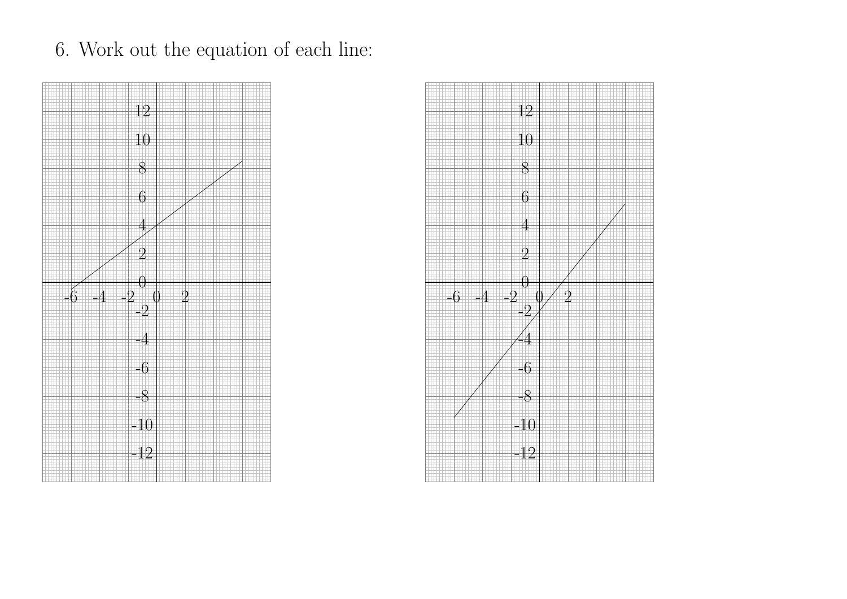6. Work out the equation of each line:



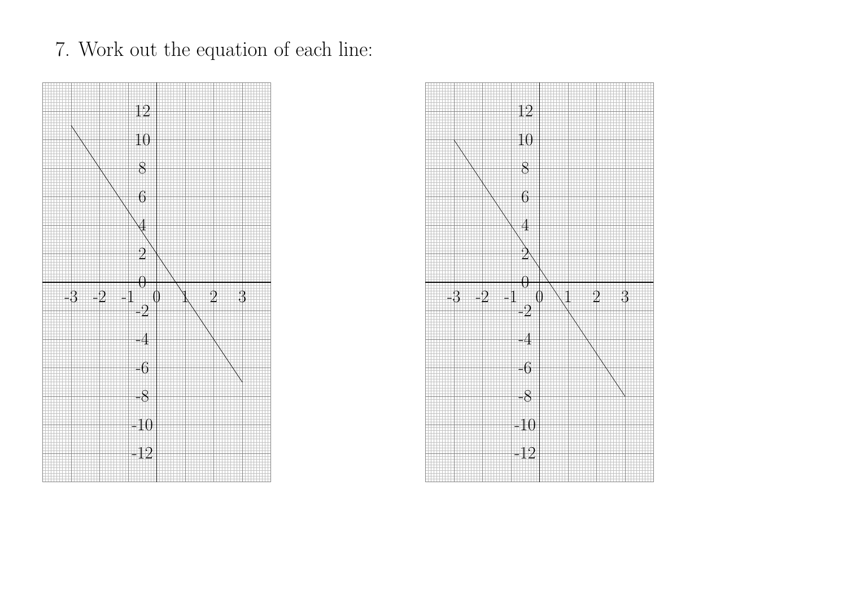

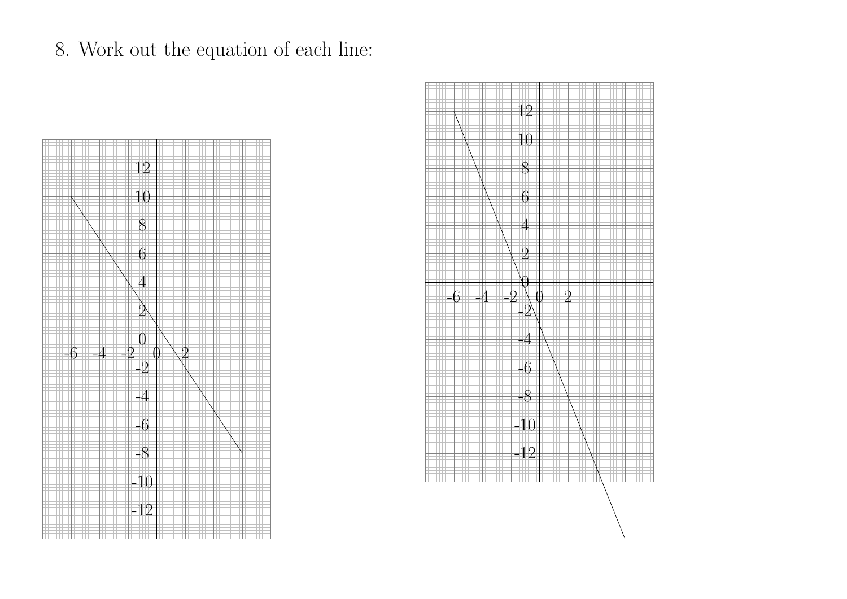

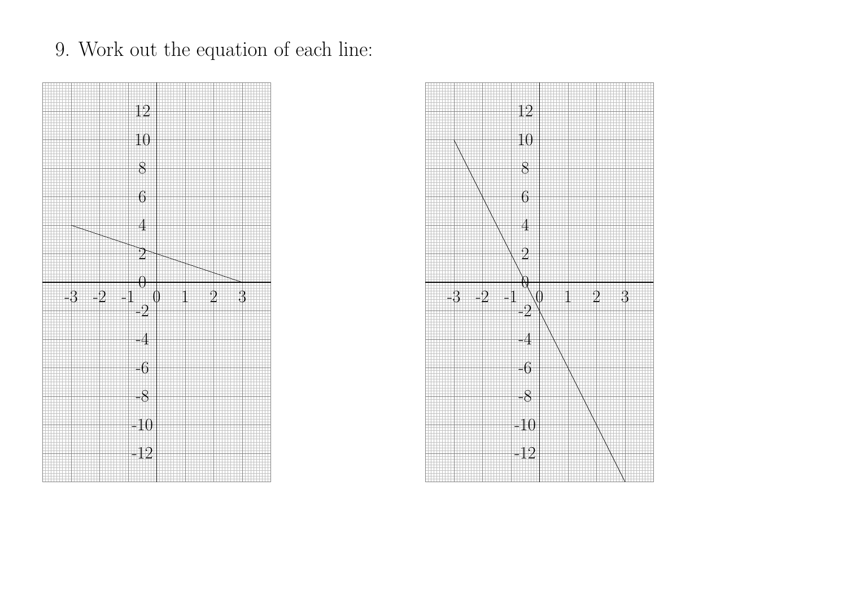